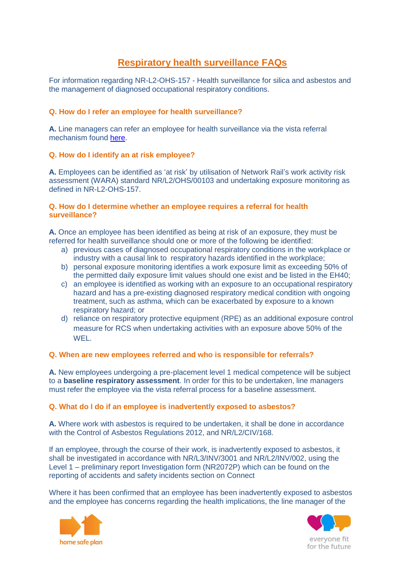# **Respiratory health surveillance FAQs**

For information regarding NR-L2-OHS-157 - Health surveillance for silica and asbestos and the management of diagnosed occupational respiratory conditions.

# **Q. How do I refer an employee for health surveillance?**

**A.** Line managers can refer an employee for health surveillance via the vista referral mechanism found [here.](https://www.ohportal.co.uk/)

## **Q. How do I identify an at risk employee?**

**A.** Employees can be identified as 'at risk' by utilisation of Network Rail's work activity risk assessment (WARA) standard NR/L2/OHS/00103 and undertaking exposure monitoring as defined in NR-L2-OHS-157.

## **Q. How do I determine whether an employee requires a referral for health surveillance?**

**A.** Once an employee has been identified as being at risk of an exposure, they must be referred for health surveillance should one or more of the following be identified:

- a) previous cases of diagnosed occupational respiratory conditions in the workplace or industry with a causal link to respiratory hazards identified in the workplace;
- b) personal exposure monitoring identifies a work exposure limit as exceeding 50% of the permitted daily exposure limit values should one exist and be listed in the EH40;
- c) an employee is identified as working with an exposure to an occupational respiratory hazard and has a pre-existing diagnosed respiratory medical condition with ongoing treatment, such as asthma, which can be exacerbated by exposure to a known respiratory hazard; or
- d) reliance on respiratory protective equipment (RPE) as an additional exposure control measure for RCS when undertaking activities with an exposure above 50% of the WEL.

#### **Q. When are new employees referred and who is responsible for referrals?**

**A.** New employees undergoing a pre-placement level 1 medical competence will be subject to a **baseline respiratory assessment**. In order for this to be undertaken, line managers must refer the employee via the vista referral process for a baseline assessment.

#### **Q. What do I do if an employee is inadvertently exposed to asbestos?**

**A.** Where work with asbestos is required to be undertaken, it shall be done in accordance with the Control of Asbestos Regulations 2012, and NR/L2/CIV/168.

If an employee, through the course of their work, is inadvertently exposed to asbestos, it shall be investigated in accordance with NR/L3/INV/3001 and NR/L2/INV/002, using the Level 1 – preliminary report Investigation form (NR2072P) which can be found on the reporting of accidents and safety incidents section on Connect

Where it has been confirmed that an employee has been inadvertently exposed to asbestos and the employee has concerns regarding the health implications, the line manager of the